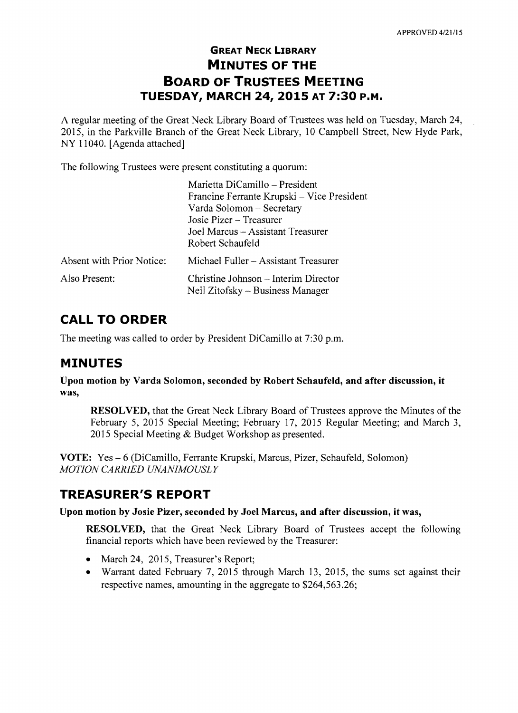## **GREAT NECK LIBRARY MINUTES OF THE BOARD OF TRUSTEES MEETING TUESDAY, MARCH 24, 2015 AT 7:30 P.M.**

A regular meeting of the Great Neck Library Board of Trustees was held on Tuesday, March 24, 2015, in the Parkville Branch of the Great Neck Library, 10 Campbell Street, New Hyde Park, NY 11040. [Agenda attached]

The following Trustees were present constituting a quorum:

|                           | Marietta DiCamillo – President                                           |
|---------------------------|--------------------------------------------------------------------------|
|                           | Francine Ferrante Krupski – Vice President                               |
|                           | Varda Solomon - Secretary                                                |
|                           | Josie Pizer – Treasurer                                                  |
|                           | Joel Marcus – Assistant Treasurer                                        |
|                           | Robert Schaufeld                                                         |
| Absent with Prior Notice: | Michael Fuller – Assistant Treasurer                                     |
| Also Present:             | Christine Johnson – Interim Director<br>Neil Zitofsky – Business Manager |

# **CALL TO ORDER**

The meeting was called to order by President DiCamillo at 7:30 p.m.

## **MINUTES**

**Upon motion by Varda Solomon, seconded by Robert Schaufeld, and after discussion, it was,** 

**RESOLVED,** that the Great Neck Library Board of Trustees approve the Minutes of the February 5, 2015 Special Meeting; February 17, 2015 Regular Meeting; and March 3, 2015 Special Meeting & Budget Workshop as presented.

**VOTE:** Yes - 6 (DiCamillo, Ferrante Krupski, Marcus, Pizer, Schaufeld, Solomon) *MOTION CARRIED UNANIMOUSLY* 

# **TREASURER'S REPORT**

### **Upon motion by Josie Pizer, seconded by Joel Marcus, and after discussion, it was,**

**RESOLVED,** that the Great Neck Library Board of Trustees accept the following financial reports which have been reviewed by the Treasurer:

- March 24, 2015, Treasurer's Report;
- Warrant dated February 7, 2015 through March 13, 2015, the sums set against their respective names, amounting in the aggregate to \$264,563.26;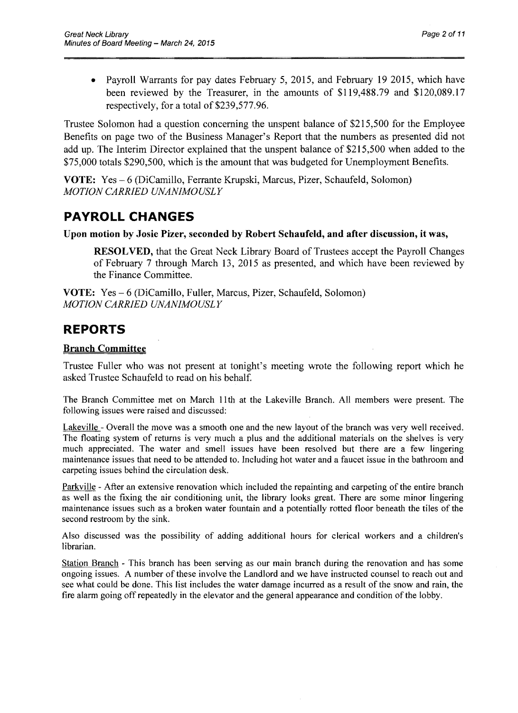• Payroll Warrants for pay dates February 5, 2015, and February 19 2015, which have been reviewed by the Treasurer, in the amounts of \$119,488.79 and \$120,089.17 respectively, for a total of \$239,577.96.

Trustee Solomon had a question concerning the unspent balance of \$215,500 for the Employee Benefits on page two of the Business Manager's Report that the numbers as presented did not add up. The Interim Director explained that the unspent balance of \$215,500 when added to the \$75,000 totals \$290,500, which is the amount that was budgeted for Unemployment Benefits.

VOTE: Yes - 6 (DiCamillo, Ferrante Krupski, Marcus, Pizer, Schaufeld, Solomon) *MOTION CARRIED UNANIMOUSLY* 

## **PAYROLL CHANGES**

### Upon motion by Josie Pizer, seconded by Robert Schaufeld, and after discussion, it was,

RESOLVED, that the Great Neck Library Board of Trustees accept the Payroll Changes of February 7 through March 13,2015 as presented, and which have been reviewed by the Finance Committee.

VOTE: Yes - 6 (DiCamillo, Fuller, Marcus, Pizer, Schaufeld, Solomon) *MOTION CARRIED UNANIMOUSLY* 

## **REPORTS**

### Branch Committee

Trustee Fuller who was not present at tonight's meeting wrote the following report which he asked Trustee Schaufeld to read on his behalf

The Branch Committee met on March 11 th at the Lakeville Branch. All members were present. The following issues were raised and discussed:

Lakeville - Overall the move was a smooth one and the new layout of the branch was very well received. The floating system of returns is very much a plus and the additional materials on the shelves is very much appreciated. The water and smell issues have been resolved but there are a few lingering maintenance issues that need to be attended to. Including hot water and a faucet issue in the bathroom and carpeting issues behind the circulation desk.

Parkville - After an extensive renovation which included the repainting and carpeting of the entire branch as well as the fixing the air conditioning unit, the library looks great. There are some minor lingering maintenance issues such as a broken water fountain and a potentially rotted floor beneath the tiles of the second restroom by the sink.

Also discussed was the possibility of adding additional hours for clerical workers and a children's librarian.

Station Branch - This branch has been serving as our main branch during the renovation and has some ongoing issues. A number of these involve the Landlord and we have instructed counsel to reach out and see what could be done. This list includes the water damage incurred as a result of the snow and rain, the fire alarm going off repeatedly in the elevator and the general appearance and condition of the lobby.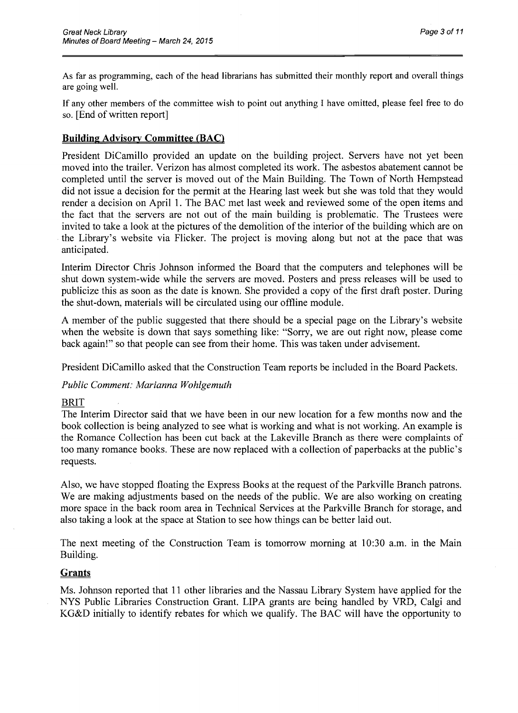As far as programming, each of the head librarians has submitted their monthly report and overall things are going well.

If any other members of the committee wish to point out anything I have omitted, please feel free to do so. [End of written report]

### **Building** Advisory Committee (BAC)

President DiCamillo provided an update on the building project. Servers have not yet been moved into the trailer. Verizon has almost completed its work. The asbestos abatement cannot be completed until the server is moved out of the Main Building. The Town of North Hempstead did not issue a decision for the permit at the Hearing last week but she was told that they would render a decision on April 1. The BAC met last week and reviewed some of the open items and the fact that the servers are not out of the main building is problematic. The Trustees were invited to take a look at the pictures of the demolition of the interior of the building which are on the Library's website via Flicker. The project is moving along but not at the pace that was anticipated.

Interim Director Chris Johnson informed the Board that the computers and telephones will be shut down system-wide while the servers are moved. Posters and press releases will be used to publicize this as soon as the date is known. She provided a copy of the first draft poster. During the shut-down, materials will be circulated using our offline module.

A member of the public suggested that there should be a special page on the Library's website when the website is down that says something like: "Sorry, we are out right now, please come back again!" so that people can see from their home. This was taken under advisement.

President DiCamillo asked that the Construction Team reports be included in the Board Packets.

*Public Comment: Marianna Wohlgemuth* 

#### BRIT

The Interim Director said that we have been in our new location for a few months now and the book collection is being analyzed to see what is working and what is not working. An example is the Romance Collection has been cut back at the Lakeville Branch as there were complaints of too many romance books. These are now replaced with a collection of paperbacks at the public's requests.

Also, we have stopped floating the Express Books at the request of the Parkville Branch patrons. We are making adjustments based on the needs of the public. We are also working on creating more space in the back room area in Technical Services at the Parkville Branch for storage, and also taking a look at the space at Station to see how things can be better laid out.

The next meeting of the Construction Team is tomorrow morning at 10:30 a.m. in the Main Building.

#### **Grants**

Ms. Johnson reported that 11 other libraries and the Nassau Library System have applied for the NYS Public Libraries Construction Grant. LIPA grants are being handled by VRD, Calgi and KG&D initially to identify rebates for which we qualify. The BAC will have the opportunity to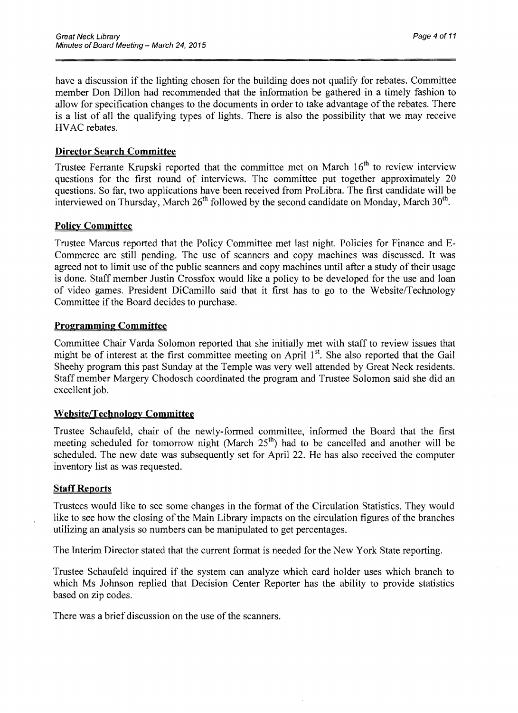have a discussion if the lighting chosen for the building does not qualify for rebates. Committee member Don Dillon had recommended that the information be gathered in a timely fashion to allow for specification changes to the documents in order to take advantage of the rebates. There is a list of all the qualifying types of lights. There is also the possibility that we may receive HVAC rebates.

### **Director Search Committee**

Trustee Ferrante Krupski reported that the committee met on March  $16<sup>th</sup>$  to review interview questions for the first round of interviews. The committee put together approximately 20 questions. So far, two applications have been received from ProLibra. The first candidate will be interviewed on Thursday, March  $26<sup>th</sup>$  followed by the second candidate on Monday, March  $30<sup>th</sup>$ .

### **Policy Committee**

Trustee Marcus reported that the Policy Committee met last night. Policies for Finance and E-Commerce are still pending. The use of scanners and copy machines was discussed. It was agreed not to limit use of the public scanners and copy machines until after a study of their usage is done. Staff member Justin Crossfox would like a policy to be developed for the use and loan of video games. President DiCamillo said that it first has to go to the Website/Technology Committee if the Board decides to purchase.

### **Programming Committee**

Committee Chair Varda Solomon reported that she initially met with staff to review issues that might be of interest at the first committee meeting on April 1<sup>st</sup>. She also reported that the Gail Sheehy program this past Sunday at the Temple was very well attended by Great Neck residents. Staff member Margery Chodosch coordinated the program and Trustee Solomon said she did an excellent job.

### **Website/Technology Committee**

Trustee Schaufeld, chair of the newly-formed committee, informed the Board that the first meeting scheduled for tomorrow night (March  $25<sup>th</sup>$ ) had to be cancelled and another will be scheduled. The new date was subsequently set for April 22. He has also received the computer inventory list as was requested.

### **Staff Reports**

Trustees would like to see some changes in the format of the Circulation Statistics. They would like to see how the closing of the Main Library impacts on the circulation figures of the branches utilizing an analysis so numbers can be manipulated to get percentages.

The Interim Director stated that the current format is needed for the New York State reporting.

Trustee Schaufeld inquired if the system can analyze which card holder uses which branch to which Ms Johnson replied that Decision Center Reporter has the ability to provide statistics based on zip codes.

There was a brief discussion on the use of the scanners.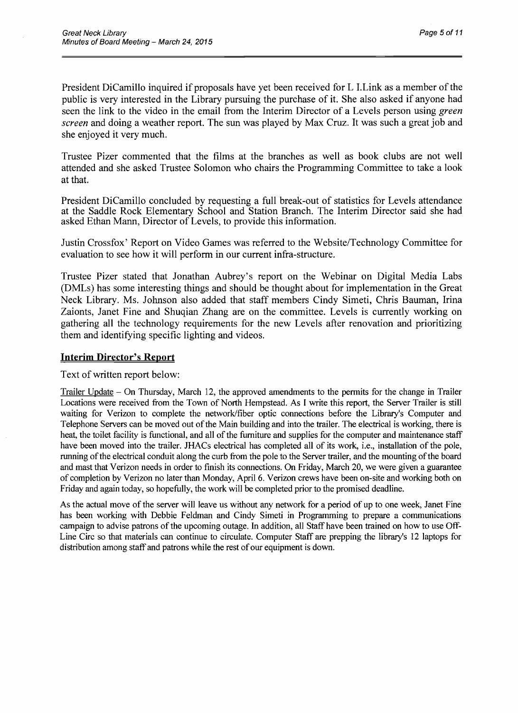President DiCamillo inquired if proposals have yet been received for L I. Link as a member of the public is very interested in the Library pursuing the purchase of it. She also asked if anyone had seen the link to the video in the email from the Interim Director of a Levels person using *green screen* and doing a weather report. The sun was played by Max Cruz. It was such a great job and she enjoyed it very much.

Trustee Pizer commented that the films at the branches as well as book clubs are not well attended and she asked Trustee Solomon who chairs the Programming Committee to take a look at that.

President DiCamillo concluded by requesting a full break-out of statistics for Levels attendance at the Saddle Rock Elementary School and Station Branch. The Interim Director said she had asked Ethan Mann, Director of Levels, to provide this information.

Justin Crossfox' Report on Video Games was referred to the Website/Technology Committee for evaluation to see how it will perform in our current infra-structure.

Trustee Pizer stated that Jonathan Aubrey's report on the Webinar on Digital Media Labs (DMLs) has some interesting things and should be thought about for implementation in the Great Neck Library. Ms. Johnson also added that staff members Cindy Simeti, Chris Bauman, Irina Zaionts, Janet Fine and Shuqian Zhang are on the committee. Levels is currently working on gathering all the technology requirements for the new Levels after renovation and prioritizing them and identifying specific lighting and videos.

#### **Interim Director's Report**

Text of written report below:

Trailer Update – On Thursday, March 12, the approved amendments to the permits for the change in Trailer Locations were received from the Town of North Hempstead. As I write this report, the Server Trailer is still waiting for Verizon to complete the network/fiber optic connections before the Library's Computer and Telephone Servers can be moved out of the Main building and into the trailer. The electrical is working, there is heat, the toilet facility is functional, and all of the furniture and supplies for the computer and maintenance staff have been moved into the trailer. JHACs electrical has completed all of its work, i.e., installation of the pole, running of the electrical conduit along the curb from the pole to the Server trailer, and the mounting of the board and mast that Verizon needs in order to finish its connections. On Friday, March 20, we were given a guarantee of completion by Verizon no later than Monday, April 6. Verizon crews have been on-site and working both on Friday and again today, so hopefully, the work will be completed prior to the promised deadline.

As the actual move of the server will leave us without any network for a period of up to one week, Janet Fine has been working with Debbie Feldman and Cindy Simeti in Programming to prepare a communications campaign to advise patrons of the upcoming outage. In addition, all Staff have been trained on how to use Off-Line Circ so that materials can continue to circulate. Computer Staff are prepping the library's 12 laptops for distribution among staff and patrons while the rest of our equipment is down.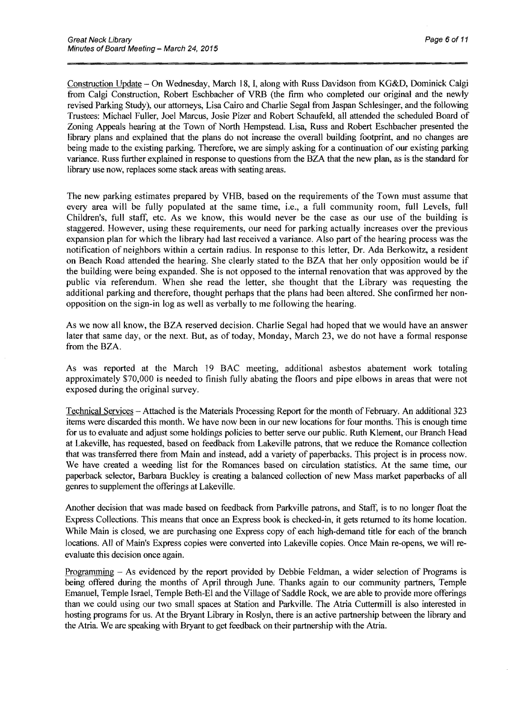Construction Update – On Wednesday, March 18, I, along with Russ Davidson from KG&D, Dominick Calgi from Calgi Construction, Robert Eschbacher of VRB (the firm who completed our original and the newly revised Parking Study), our attorneys, Lisa Cairo and Charlie Segal from Jaspan Schlesinger, and the following Trustees: Michael Fuller, Joel Marcus, Josie Pizer and Robert Schaufeld, all attended the scheduled Board of Zoning Appeals hearing at the Town of North Hempstead. Lisa, Russ and Robert Eschbacher presented the library plans and explained that the plans do not increase the overall building footprint, and no changes are being made to the existing parking. Therefore, we are simply asking for a continuation of our existing parking variance. Russ further explained in response to questions from the BZA that the new plan, as is the standard for library use now, replaces some stack areas with seating areas.

The new parking estimates prepared by VHB, based on the requirements of the Town must assume that every area will be fully populated at the same time, *i.e.*, a full community room, full Levels, full Children's, full staff, etc. As we know, this would never be the case as our use of the building is staggered. However, using these requirements, our need for parking actually increases over the previous expansion plan for which the library had last received a variance. Also part ofthe hearing process was the notification of neighbors within a certain radius. In response to this letter, Dr. Ada Berkowitz, a resident on Beach Road attended the hearing. She clearly stated to the BZA that her only opposition would be if the building were being expanded. She is not opposed to the internal renovation that was approved by the public via referendum. When she read the letter, she thought that the Library was requesting the additional parking and therefore, thought perhaps that the plans had been altered. She confirmed her nonopposition on the sign-in log as well as verbally to me following the hearing.

As we now all know, the BZA reserved decision. Charlie Segal had hoped that we would have an answer later that same day, or the next. But, as of today, Monday, March 23, we do not have a formal response from the BZA.

As was reported at the March 19 BAC meeting, additional asbestos abatement work totaling approximately \$70,000 is needed to finish fully abating the floors and pipe elbows in areas that were not exposed during the original survey.

Technical Services Attached is the Materials Processing Report for the month of February. An additional 323 items were discarded this month. We have now been in our new locations for four months. This is enough time for us to evaluate and adjust some holdings policies to better serve our public. Ruth Klement, our Branch Head at Lakeville, has requested, based on feedback from Lakeville patrons, that we reduce the Romance collection that was transferred there from Main and instead, add a variety of paperbacks. This project is in process now. We have created a weeding list for the Romances based on circulation statistics. At the same time, our paperback selector, Barbara Buckley is creating a balanced collection of new Mass market paperbacks of all genres to supplement the offerings at Lakeville.

Another decision that was made based on feedback from Parkville patrons, and Staff, is to no longer float the Express Collections. This means that once an Express book is checked-in, it gets returned to its home location. While Main is closed, we are purchasing one Express copy of each high-demand title for each of the branch locations. All of Main's Express copies were converted into Lakeville copies. Once Main re-opens, we will reevaluate this decision once again.

Programming - As evidenced by the report provided by Debbie Feldman, a wider selection of Programs is being offered during the months of April through June. Thanks again to our community partners, Temple Emanuel, Temple Israel, Temple Beth-El and the Village of Saddle Rock, we are able to provide more offerings than we could using our two small spaces at Station and Parkville. The Atria Cuttermill is also interested in hosting programs for us. At the Bryant Library in Roslyn, there is an active partnership between the library and the Atria. We are speaking with Bryant to get feedback on their partnership with the Atria.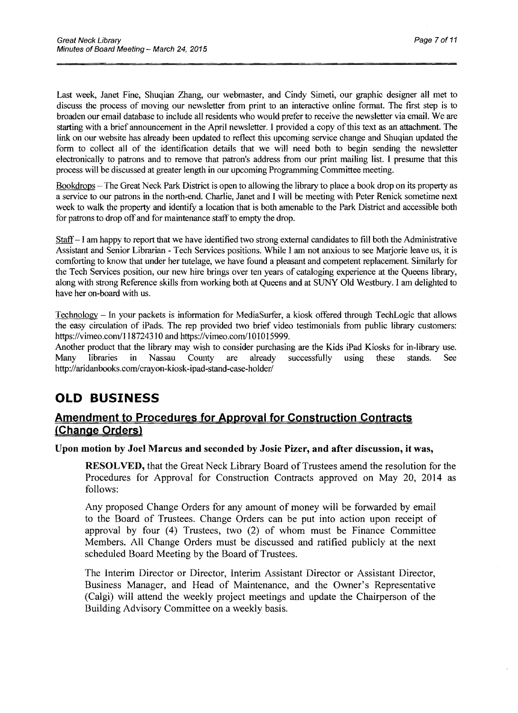Last week, Janet Fine, Shuqian Zhang, our webmaster, and Cindy Simeti, our graphic designer all met to discuss the process of moving our newsletter from print to an interactive online format. The first step is to broaden our email database to include all residents who would prefer to receive the newsletter via email. We are starting with a brief announcement in the April newsletter. I provided a copy of this text as an attachment. The link on our website has already been updated to reflect this upcoming service change and Shuqian updated the form to collect all of the identification details that we will need both to begin sending the newsletter electronically to patrons and to remove that patron's address from our print mailing list. I presume that this process will be discussed at greater length in our upcoming Programming Committee meeting.

Bookdrops – The Great Neck Park District is open to allowing the library to place a book drop on its property as a service to our patrons in the north-end. Charlie, Janet and I will be meeting with Peter Renick sometime next week to walk the property and identify a location that is both amenable to the Park District and accessible both for patrons to drop off and for maintenance staff to empty the drop.

Staff - I am happy to report that we have identified two strong external candidates to fill both the Administrative Assistant and Senior Librarian - Tech Services positions. While I am not anxious to see Marjorie leave us, it is comforting to know that under her tutelage, we have found a pleasant and competent replacement. Similarly for the Tech Services position, our new hire brings over ten years of cataloging experience at the Queens library, along with strong Reference skills from working both at Queens and at SUNY Old Westbury. I am delighted to have her on-board with us.

Technology - In your packets is information for MediaSurfer, a kiosk offered through TechLogic that allows the easy circulation of iPads. The rep provided two brief video testimonials from public library customers: https://vimeo.com/118724310 and https://vimeo.com/101015999.

Another product that the library may wish to consider purchasing are the Kids iPad Kiosks for in-library use. Many libraries in Nassau County are already successfully using these stands. See http://aridanbooks.com/crayon-kiosk-ipad-stand-case-holder/

# **OLD BUSINESS**

## Amendment to Procedures for Approval for Construction Contracts (Change Orders)

#### Upon motion by Joel Marcus and seconded by Josie Pizer, and after discussion, it was,

RESOLVED, that the Great Neck Library Board of Trustees amend the resolution for the Procedures for Approval for Construction Contracts approved on May 20, 2014 as follows:

Any proposed Change Orders for any amount of money will be forwarded by email to the Board of Trustees. Change Orders can be put into action upon receipt of approval by four (4) Trustees, two (2) of whom must be Finance Committee Members. All Change Orders must be discussed and ratified publicly at the next scheduled Board Meeting by the Board of Trustees.

The Interim Director or Director, Interim Assistant Director or Assistant Director, Business Manager, and Head of Maintenance, and the Owner's Representative (Calgi) will attend the weekly project meetings and update the Chairperson of the Building Advisory Committee on a weekly basis.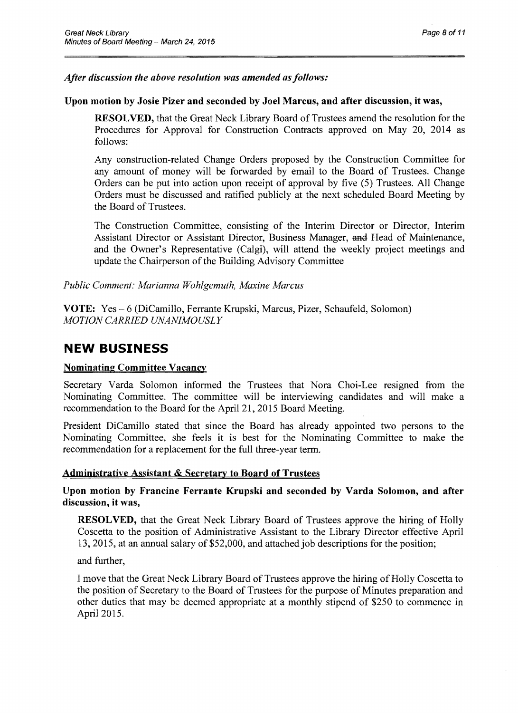### *After discussion the above resolution was amended as follows:*

#### Upon motion by Josie Pizer and seconded by Joel Marcus, and after discussion, it was,

RESOLVED, that the Great Neck Library Board of Trustees amend the resolution for the Procedures for Approval for Construction Contracts approved on May 20, 2014 as follows:

Any construction-related Change Orders proposed by the Construction Committee for any amount of money will be forwarded by email to the Board of Trustees. Change Orders can be put into action upon receipt of approval by five (5) Trustees. All Change Orders must be discussed and ratified publicly at the next scheduled Board Meeting by the Board of Trustees.

The Construction Committee, consisting of the Interim Director or Director, Interim Assistant Director or Assistant Director, Business Manager, and Head of Maintenance, and the Owner's Representative (Calgi), will attend the weekly project meetings and update the Chairperson of the Building Advisory Committee

*Public Comment: Marianna Wohlgemuth, Maxine Marcus* 

VOTE: Yes - 6 (DiCamillo, Ferrante Krupski, Marcus, Pizer, Schaufeld, Solomon) *MOTION CARRIED UNANIMOUSLY* 

## **NEW BUSINESS**

#### Nominating Committee Vacancy

Secretary Varda Solomon informed the Trustees that Nora Choi-Lee resigned from the Nominating Committee. The committee will be interviewing candidates and will make a recommendation to the Board for the April 21, 2015 Board Meeting.

President DiCamillo stated that since the Board has already appointed two persons to the Nominating Committee, she feels it is best for the Nominating Committee to make the recommendation for a replacement for the full three-year term.

#### Administrative Assistant & Secretary to Board of Trustees

Upon motion by Francine Ferrante Krupski and seconded by Varda Solomon, and after discussion, it was,

RESOLVED, that the Great Neck Library Board of Trustees approve the hiring of Holly Coscetta to the position of Administrative Assistant to the Library Director effective April 13, 2015, at an annual salary of \$52,000, and attached job descriptions for the position;

and further,

I move that the Great Neck Library Board of Trustees approve the hiring of Holly Coscetta to the position of Secretary to the Board of Trustees for the purpose of Minutes preparation and other duties that may be deemed appropriate at a monthly stipend of \$250 to commence in April 2015.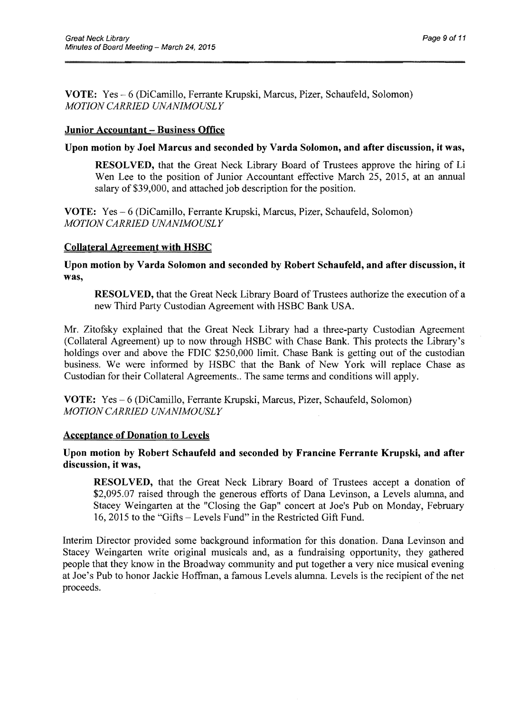VOTE: Yes - 6 (DiCamillo, Ferrante Krupski, Marcus, Pizer, Schaufeld, Solomon) *MOTION CARRIED UNANIMOUSLY* 

#### Junior Accountant - Business Office

#### Upon motion by Joel Marcus and seconded by Varda Solomon, and after discussion, it was,

RESOLVED, that the Great Neck Library Board of Trustees approve the hiring of Li Wen Lee to the position of Junior Accountant effective March 25, 2015, at an annual salary of \$39,000, and attached job description for the position.

VOTE: Yes – 6 (DiCamillo, Ferrante Krupski, Marcus, Pizer, Schaufeld, Solomon) *MOTION CARRIED UNANIMOUSLY* 

### Collateral Agreement with HSBC

Upon motion by Varda Solomon and seconded by Robert Schaufeld, and after discussion, it was,

RESOLVED, that the Great Neck Library Board of Trustees authorize the execution of a new Third Party Custodian Agreement with HSBC Bank USA.

Mr. Zitofsky explained that the Great Neck Library had a three-party Custodian Agreement (Collateral Agreement) up to now through HSBC with Chase Bank. This protects the Library's holdings over and above the FDIC \$250,000 limit. Chase Bank is getting out of the custodian business. We were informed by HSBC that the Bank of New York will replace Chase as Custodian for their Collateral Agreements .. The same terms and conditions will apply.

VOTE: Yes – 6 (DiCamillo, Ferrante Krupski, Marcus, Pizer, Schaufeld, Solomon) *MOTION CARRIED UNANIMOUSLY* 

#### Acceptance of Donation to Levels

### Upon motion by Robert Schaufeld and seconded by Francine Ferrante Krupski, and after discussion, it was,

RESOLVED, that the Great Neck Library Board of Trustees accept a donation of \$2,095.07 raised through the generous efforts of Dana Levinson, a Levels alumna, and Stacey Weingarten at the "Closing the Gap" concert at Joe's Pub on Monday, February 16, 2015 to the "Gifts - Levels Fund" in the Restricted Gift Fund.

Interim Director provided some background information for this donation. Dana Levinson and Stacey Weingarten write original musicals and, as a fundraising opportunity, they gathered people that they know in the Broadway community and put together a very nice musical evening at Joe's Pub to honor Jackie Hoffman, a famous Levels alumna. Levels is the recipient of the net proceeds.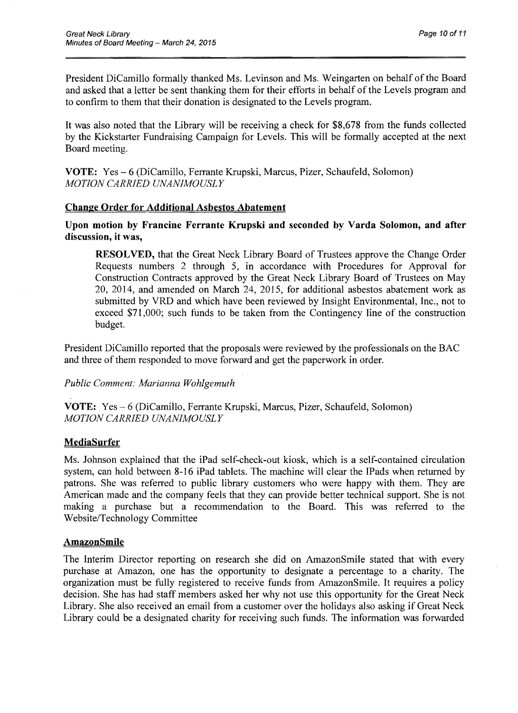President DiCamillo formally thanked Ms. Levinson and Ms. Weingarten on behalf of the Board and asked that a letter be sent thanking them for their efforts in behalf of the Levels program and to confirm to them that their donation is designated to the Levels program.

It was also noted that the Library will be receiving a check for \$8,678 from the funds collected by the Kickstarter Fundraising Campaign for Levels. This will be formally accepted at the next Board meeting.

VOTE: Yes - 6 (DiCamillo, Ferrante Krupski, Marcus, Pizer, Schaufeld, Solomon) *MOTION CARRIED UNANIMOUSLY* 

### Change Order for Additional Asbestos Abatement

Upon motion by Francine Ferrante Krupski and seconded by Yarda Solomon, and after discussion, it was,

RESOLVED, that the Great Neck Library Board of Trustees approve the Change Order Requests numbers 2 through 5, in accordance with Procedures for Approval for Construction Contracts approved by the Great Neck Library Board of Trustees on May 20, 2014, and amended on March 24, 2015, for additional asbestos abatement work as submitted by VRD and which have been reviewed by Insight Environmental, Inc., not to exceed \$71,000; such funds to be taken from the Contingency line of the construction budget.

President DiCamillo reported that the proposals were reviewed by the professionals on the BAC and three of them responded to move forward and get the paperwork in order.

*Public Comment: Marianna Wohlgemuth* 

VOTE: Yes - 6 (DiCamillo, Ferrante Krupski, Marcus, Pizer, Schaufeld, Solomon) *MOTION CARRIED UNANIMOUSLY* 

### MediaSurfer

Ms. Johnson explained that the iPad self-cheek-out kiosk, which is a self-contained circulation system, can hold between 8-16 iPad tablets. The machine will clear the IPads when returned by patrons. She was referred to public library customers who were happy with them. They are American made and the company feels that they can provide better technical support. She is not making a purchase but a recommendation to the Board. This was referred to the Website/Technology Committee

#### AmazonSmile

The Interim Director reporting on research she did on AmazonSmile stated that with every purchase at Amazon, one has the opportunity to designate a percentage to a charity. The organization must be fully registered to receive funds from AmazonSmile. It requires a policy decision. She has had staff members asked her why not use this opportunity for the Great Neck Library. She also received an email from a customer over the holidays also asking if Great Neck Library could be a designated charity for receiving such funds. The information was forwarded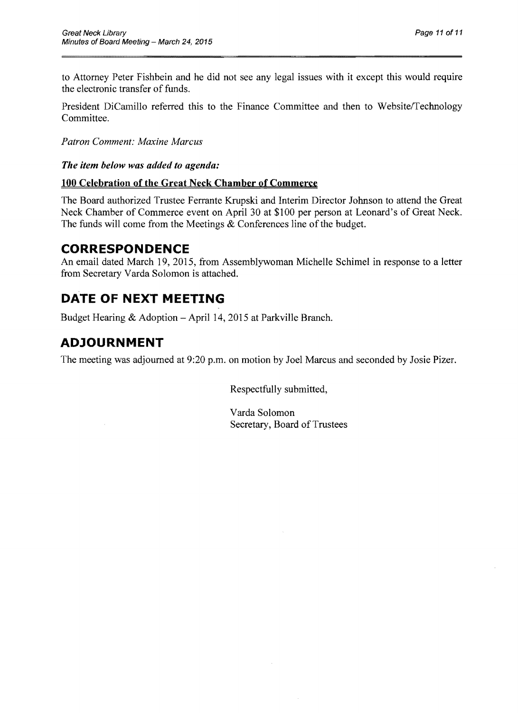to Attorney Peter Fishbein and he did not see any legal issues with it except this would require the electronic transfer of funds.

President DiCamillo referred this to the Finance Committee and then to Website/Technology Committee.

*Patron Comment: Maxine Marcus* 

*The item below was added to agenda:* 

### **100 Celebration of the Great Neck Chamber of Commerce**

The Board authorized Trustee Ferrante Krupski and Interim Director Johnson to attend the Great Neck Chamber of Commerce event on April 30 at \$100 per person at Leonard's of Great Neck. The funds will come from the Meetings  $&$  Conferences line of the budget.

## **CORRESPONDENCE**

An email dated March 19,2015, from Assemblywoman Michelle Schimel in response to a letter from Secretary Varda Solomon is attached.

# **DATE OF NEXT MEETING**

Budget Hearing  $&$  Adoption – April 14, 2015 at Parkville Branch.

## **ADJOURNMENT**

The meeting was adjourned at 9:20 p.m. on motion by Joel Marcus and seconded by Josie Pizer.

Respectfully submitted,

Varda Solomon Secretary, Board of Trustees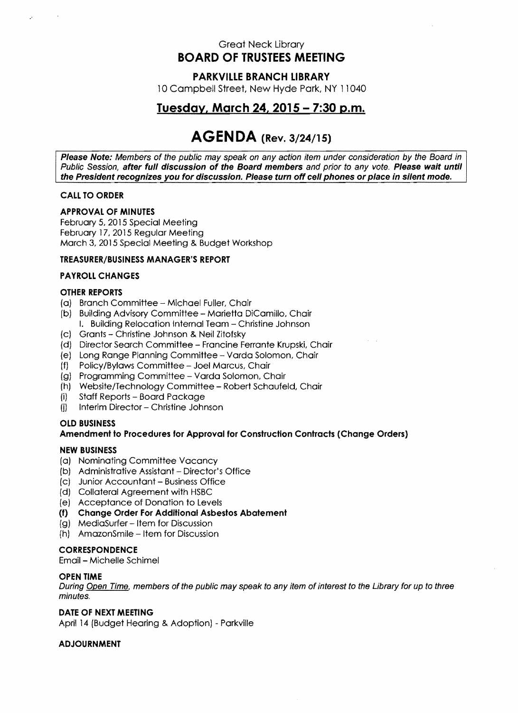### Great Neck Library **BOARD OF TRUSTEES MEETING**

#### **PARKVillE BRANCH LIBRARY**

10 Campbell Street, New Hyde Park, NY 11040

## **Tuesday, March 24, 2015 - 7:30 p.m.**

# **AGEN DA (Rev. 3/24/15)**

**Please Note:** Members of the public may speak on any action item under consideration by the Board in Public Session, **after full discussion of the Board members** and prior to any vote. **Please wait until the President recognizes you for discussion. Please turn off cell phones or place in silent mode.** 

#### **CALL TO ORDER**

#### **APPROVAL OF MINUTES**

February 5,2015 Special Meeting February 17, 2015 Regular Meeting March 3. 2015 Special Meeting & Budget Workshop

#### **TREASURER/BUSINESS MANAGER'S REPORT**

#### **PAYROLL CHANGES**

#### **OTHER REPORTS**

- (a) Branch Committee Michael Fuller, Chair
- [b) Building Advisory Committee Marietta DiCamillo, Chair I. Building Relocation Internal Team - Christine Johnson
- (c) Grants Christine Johnson & Neil Zitofsky
- (d) Director Search Committee Francine Ferrante Krupski, Chair
- (e) Long Range Planning Committee Varda Solomon, Chair
- (f) Policy /Bylaws Committee Joel Marcus, Chair
- (g) Programming Committee Varda Solomon, Chair
- (h) Website/Technology Committee Robert Schaufeld, Chair
- (i) Staff Reports Board Package
- (j) Interim Director Christine Johnson

#### **OLD BUSINESS Amendment to Procedures for Approval for Construction Contracts (Change Orders)**

#### **NEW BUSINESS**

- (a) Nominating Committee Vacancy
- (b) Administrative Assistant Director's Office
- (c) Junior Accountant Business Office
- (d) Collateral Agreement with HSBC
- (e) Acceptance of Donation to Levels
- **(f) Change Order For Additional Asbestos Abatement**
- (g) MediaSurfer Item for Discussion
- (h) AmazonSmile Item for Discussion

#### **CORRESPONDENCE**

Email- Michelle Schimel

#### **OPEN TIME**

During Open Time, members of the public may speak to any item of interest to the Library for up to three minutes.

#### **DATE OF NEXT MEETING**

April 14 (Budget Hearing & Adoption) - Parkville

#### **ADJOURNMENT**